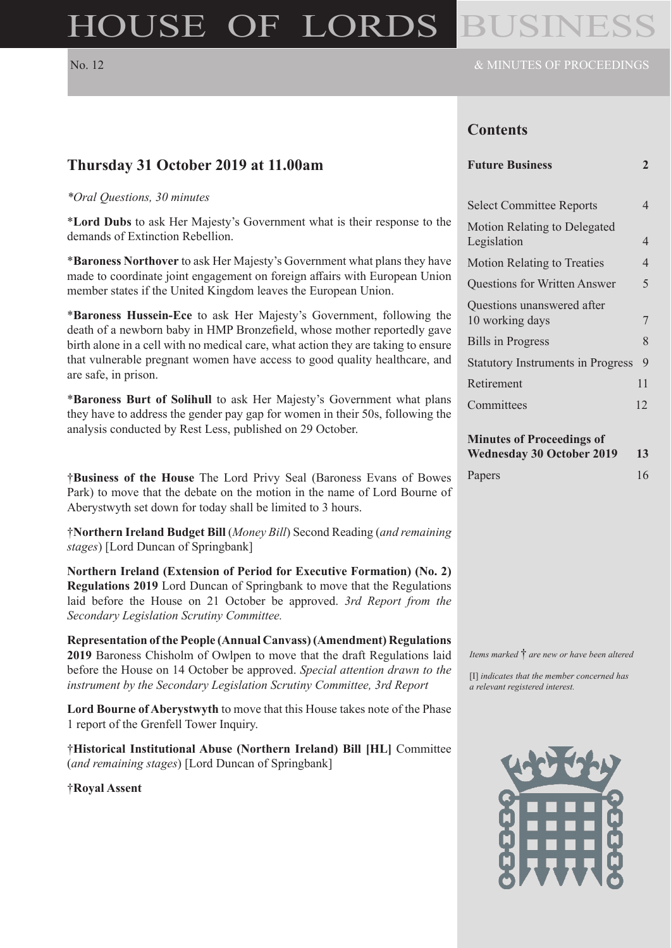# HOUSE OF LORDS

**Thursday 31 October 2019 at 11.00am**

*\*Oral Questions, 30 minutes*

are safe, in prison.

demands of Extinction Rebellion.

# **Contents**

| <b>Future Business</b> |  |
|------------------------|--|
|------------------------|--|

| <b>Select Committee Reports</b>               | 4  |
|-----------------------------------------------|----|
| Motion Relating to Delegated<br>Legislation   | 4  |
| <b>Motion Relating to Treaties</b>            | 4  |
| <b>Questions for Written Answer</b>           | 5  |
| Questions unanswered after<br>10 working days | 7  |
| <b>Bills in Progress</b>                      | 8  |
| <b>Statutory Instruments in Progress</b>      | 9  |
| Retirement                                    | 11 |
| Committees                                    | 12 |
|                                               |    |

|  | <b>Minutes of Proceedings of</b> |  |
|--|----------------------------------|--|
|--|----------------------------------|--|

| <b>Wednesday 30 October 2019</b> | <b>13</b> |
|----------------------------------|-----------|
| Papers                           | 16        |

†**Business of the House** The Lord Privy Seal (Baroness Evans of Bowes Park) to move that the debate on the motion in the name of Lord Bourne of Aberystwyth set down for today shall be limited to 3 hours.

\***Lord Dubs** to ask Her Majesty's Government what is their response to the

\***Baroness Northover** to ask Her Majesty's Government what plans they have made to coordinate joint engagement on foreign affairs with European Union

\***Baroness Hussein-Ece** to ask Her Majesty's Government, following the death of a newborn baby in HMP Bronzefield, whose mother reportedly gave birth alone in a cell with no medical care, what action they are taking to ensure that vulnerable pregnant women have access to good quality healthcare, and

\***Baroness Burt of Solihull** to ask Her Majesty's Government what plans they have to address the gender pay gap for women in their 50s, following the

member states if the United Kingdom leaves the European Union.

analysis conducted by Rest Less, published on 29 October.

†**Northern Ireland Budget Bill** (*Money Bill*) Second Reading (*and remaining stages*) [Lord Duncan of Springbank]

**Northern Ireland (Extension of Period for Executive Formation) (No. 2) Regulations 2019** Lord Duncan of Springbank to move that the Regulations laid before the House on 21 October be approved. *3rd Report from the Secondary Legislation Scrutiny Committee.*

**Representation of the People (Annual Canvass) (Amendment) Regulations 2019** Baroness Chisholm of Owlpen to move that the draft Regulations laid before the House on 14 October be approved. *Special attention drawn to the instrument by the Secondary Legislation Scrutiny Committee, 3rd Report*

**Lord Bourne of Aberystwyth** to move that this House takes note of the Phase 1 report of the Grenfell Tower Inquiry.

†**Historical Institutional Abuse (Northern Ireland) Bill [HL]** Committee (*and remaining stages*) [Lord Duncan of Springbank]

†**Royal Assent**

*Items marked* † *are new or have been altered*

[I] *indicates that the member concerned has a relevant registered interest.*

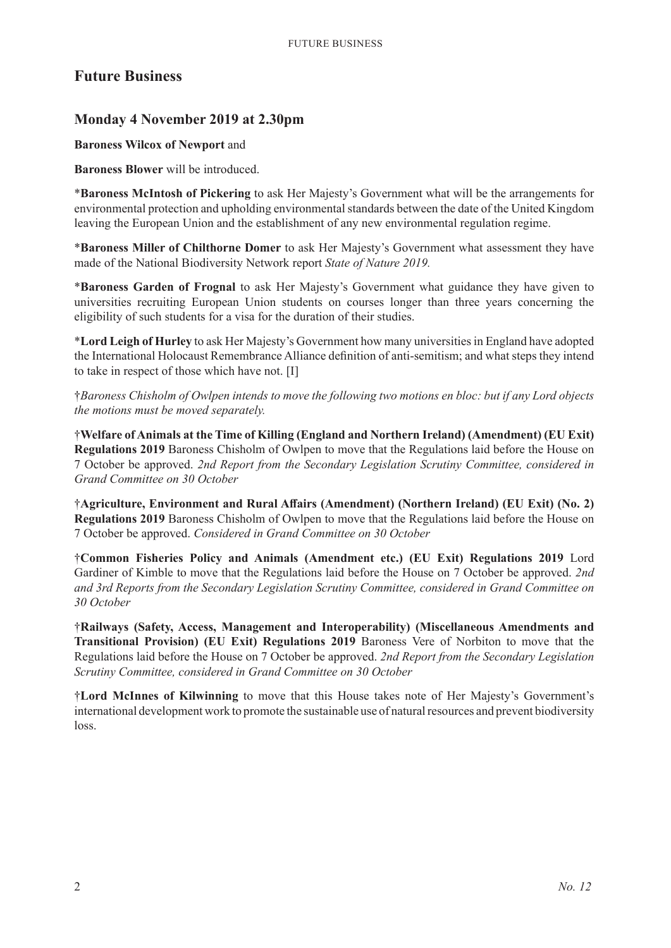# **Future Business**

# **Monday 4 November 2019 at 2.30pm**

#### **Baroness Wilcox of Newport** and

**Baroness Blower** will be introduced.

\***Baroness McIntosh of Pickering** to ask Her Majesty's Government what will be the arrangements for environmental protection and upholding environmental standards between the date of the United Kingdom leaving the European Union and the establishment of any new environmental regulation regime.

\***Baroness Miller of Chilthorne Domer** to ask Her Majesty's Government what assessment they have made of the National Biodiversity Network report *State of Nature 2019.*

\***Baroness Garden of Frognal** to ask Her Majesty's Government what guidance they have given to universities recruiting European Union students on courses longer than three years concerning the eligibility of such students for a visa for the duration of their studies.

\***Lord Leigh of Hurley** to ask Her Majesty's Government how many universities in England have adopted the International Holocaust Remembrance Alliance definition of anti-semitism; and what steps they intend to take in respect of those which have not. [I]

†*Baroness Chisholm of Owlpen intends to move the following two motions en bloc: but if any Lord objects the motions must be moved separately.*

†**Welfare of Animals at the Time of Killing (England and Northern Ireland) (Amendment) (EU Exit) Regulations 2019** Baroness Chisholm of Owlpen to move that the Regulations laid before the House on 7 October be approved. *2nd Report from the Secondary Legislation Scrutiny Committee, considered in Grand Committee on 30 October*

†**Agriculture, Environment and Rural Affairs (Amendment) (Northern Ireland) (EU Exit) (No. 2) Regulations 2019** Baroness Chisholm of Owlpen to move that the Regulations laid before the House on 7 October be approved. *Considered in Grand Committee on 30 October*

†**Common Fisheries Policy and Animals (Amendment etc.) (EU Exit) Regulations 2019** Lord Gardiner of Kimble to move that the Regulations laid before the House on 7 October be approved. *2nd and 3rd Reports from the Secondary Legislation Scrutiny Committee, considered in Grand Committee on 30 October*

†**Railways (Safety, Access, Management and Interoperability) (Miscellaneous Amendments and Transitional Provision) (EU Exit) Regulations 2019** Baroness Vere of Norbiton to move that the Regulations laid before the House on 7 October be approved. *2nd Report from the Secondary Legislation Scrutiny Committee, considered in Grand Committee on 30 October*

†**Lord McInnes of Kilwinning** to move that this House takes note of Her Majesty's Government's international development work to promote the sustainable use of natural resources and prevent biodiversity loss.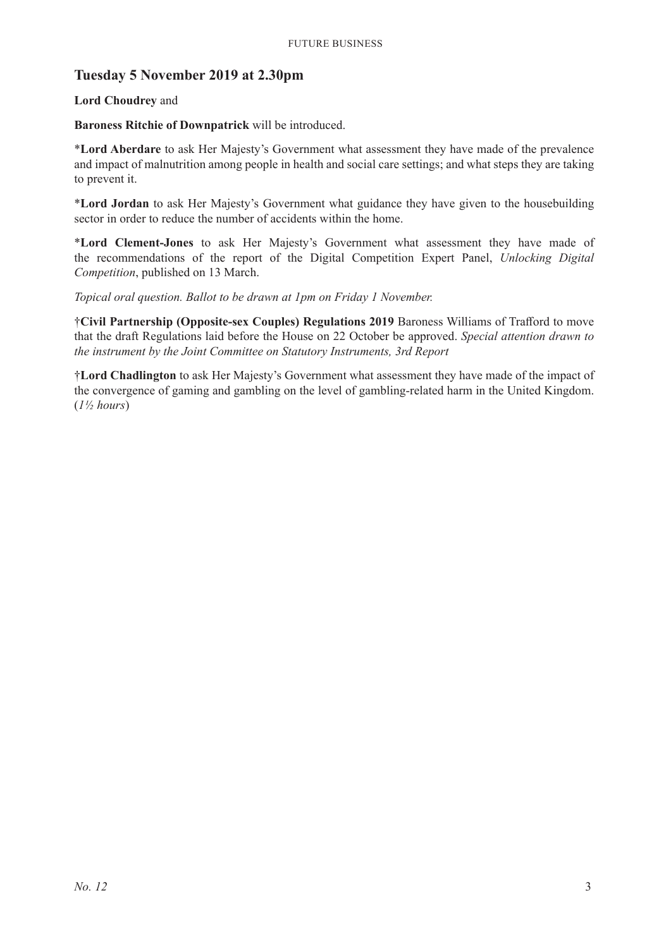# **Tuesday 5 November 2019 at 2.30pm**

#### **Lord Choudrey** and

#### **Baroness Ritchie of Downpatrick** will be introduced.

\***Lord Aberdare** to ask Her Majesty's Government what assessment they have made of the prevalence and impact of malnutrition among people in health and social care settings; and what steps they are taking to prevent it.

\***Lord Jordan** to ask Her Majesty's Government what guidance they have given to the housebuilding sector in order to reduce the number of accidents within the home.

\***Lord Clement-Jones** to ask Her Majesty's Government what assessment they have made of the recommendations of the report of the Digital Competition Expert Panel, *Unlocking Digital Competition*, published on 13 March.

*Topical oral question. Ballot to be drawn at 1pm on Friday 1 November.*

†**Civil Partnership (Opposite-sex Couples) Regulations 2019** Baroness Williams of Trafford to move that the draft Regulations laid before the House on 22 October be approved. *Special attention drawn to the instrument by the Joint Committee on Statutory Instruments, 3rd Report*

†**Lord Chadlington** to ask Her Majesty's Government what assessment they have made of the impact of the convergence of gaming and gambling on the level of gambling-related harm in the United Kingdom. (*1½ hours*)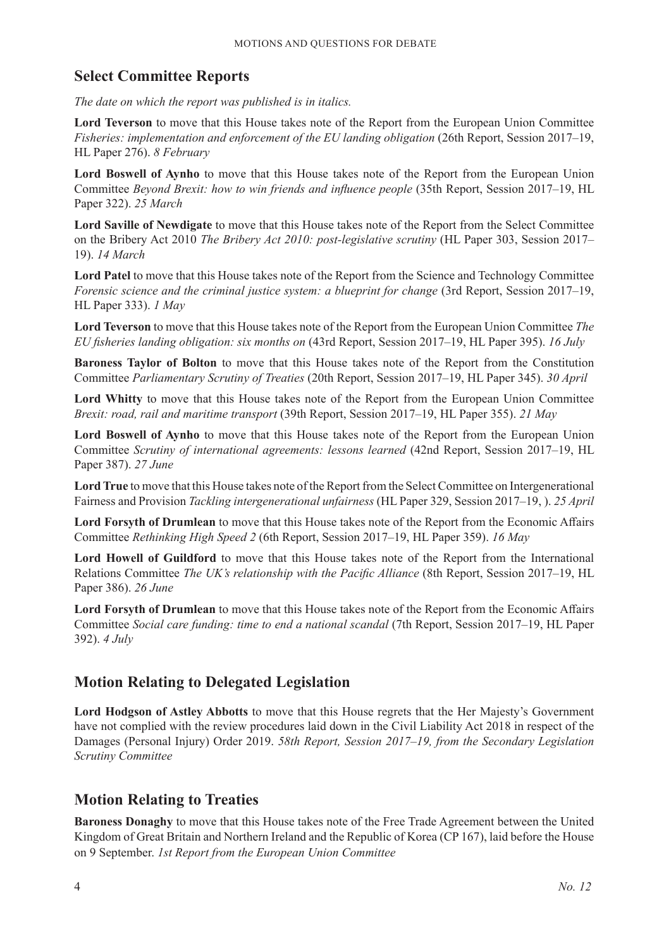# **Select Committee Reports**

*The date on which the report was published is in italics.*

**Lord Teverson** to move that this House takes note of the Report from the European Union Committee *Fisheries: implementation and enforcement of the EU landing obligation* (26th Report, Session 2017–19, HL Paper 276). *8 February*

**Lord Boswell of Aynho** to move that this House takes note of the Report from the European Union Committee *Beyond Brexit: how to win friends and influence people* (35th Report, Session 2017–19, HL Paper 322). *25 March*

**Lord Saville of Newdigate** to move that this House takes note of the Report from the Select Committee on the Bribery Act 2010 *The Bribery Act 2010: post-legislative scrutiny* (HL Paper 303, Session 2017– 19). *14 March*

**Lord Patel** to move that this House takes note of the Report from the Science and Technology Committee *Forensic science and the criminal justice system: a blueprint for change* (3rd Report, Session 2017–19, HL Paper 333). *1 May*

**Lord Teverson** to move that this House takes note of the Report from the European Union Committee *The EU fisheries landing obligation: six months on* (43rd Report, Session 2017–19, HL Paper 395). *16 July*

**Baroness Taylor of Bolton** to move that this House takes note of the Report from the Constitution Committee *Parliamentary Scrutiny of Treaties* (20th Report, Session 2017–19, HL Paper 345). *30 April*

**Lord Whitty** to move that this House takes note of the Report from the European Union Committee *Brexit: road, rail and maritime transport* (39th Report, Session 2017–19, HL Paper 355). *21 May*

**Lord Boswell of Aynho** to move that this House takes note of the Report from the European Union Committee *Scrutiny of international agreements: lessons learned* (42nd Report, Session 2017–19, HL Paper 387). *27 June*

**Lord True** to move that this House takes note of the Report from the Select Committee on Intergenerational Fairness and Provision *Tackling intergenerational unfairness* (HL Paper 329, Session 2017–19, ). *25 April*

**Lord Forsyth of Drumlean** to move that this House takes note of the Report from the Economic Affairs Committee *Rethinking High Speed 2* (6th Report, Session 2017–19, HL Paper 359). *16 May*

**Lord Howell of Guildford** to move that this House takes note of the Report from the International Relations Committee *The UK's relationship with the Pacific Alliance* (8th Report, Session 2017–19, HL Paper 386). *26 June*

**Lord Forsyth of Drumlean** to move that this House takes note of the Report from the Economic Affairs Committee *Social care funding: time to end a national scandal* (7th Report, Session 2017–19, HL Paper 392). *4 July*

# **Motion Relating to Delegated Legislation**

**Lord Hodgson of Astley Abbotts** to move that this House regrets that the Her Majesty's Government have not complied with the review procedures laid down in the Civil Liability Act 2018 in respect of the Damages (Personal Injury) Order 2019. *58th Report, Session 2017–19, from the Secondary Legislation Scrutiny Committee*

# **Motion Relating to Treaties**

**Baroness Donaghy** to move that this House takes note of the Free Trade Agreement between the United Kingdom of Great Britain and Northern Ireland and the Republic of Korea (CP 167), laid before the House on 9 September. *1st Report from the European Union Committee*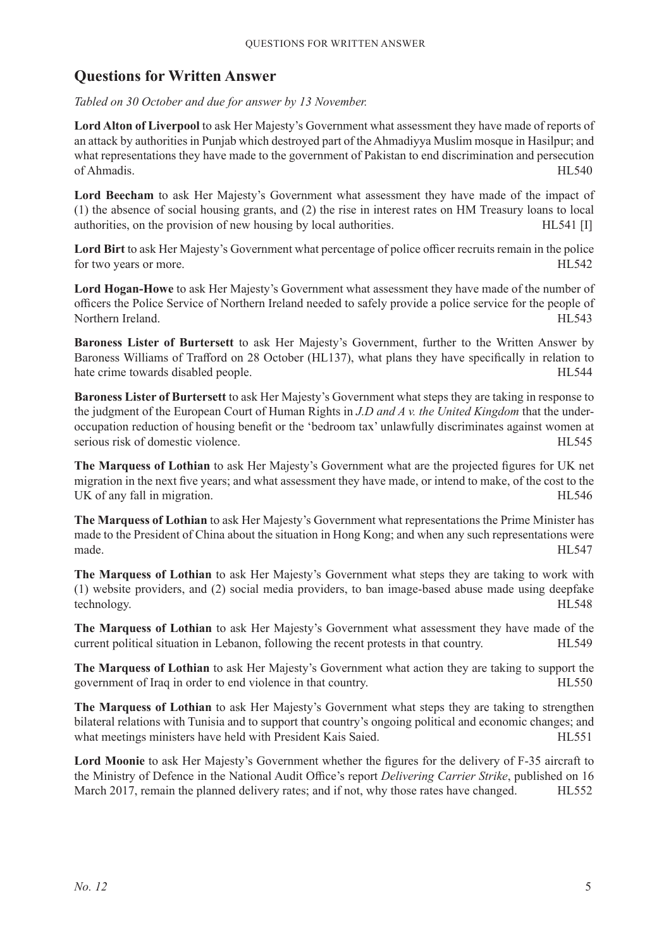# **Questions for Written Answer**

*Tabled on 30 October and due for answer by 13 November.*

**Lord Alton of Liverpool** to ask Her Majesty's Government what assessment they have made of reports of an attack by authorities in Punjab which destroyed part of the Ahmadiyya Muslim mosque in Hasilpur; and what representations they have made to the government of Pakistan to end discrimination and persecution of Ahmadis. HL540

**Lord Beecham** to ask Her Majesty's Government what assessment they have made of the impact of (1) the absence of social housing grants, and (2) the rise in interest rates on HM Treasury loans to local authorities, on the provision of new housing by local authorities. HL541 [I]

**Lord Birt** to ask Her Majesty's Government what percentage of police officer recruits remain in the police for two years or more. HL542

**Lord Hogan-Howe** to ask Her Majesty's Government what assessment they have made of the number of officers the Police Service of Northern Ireland needed to safely provide a police service for the people of Northern Ireland. HL543

**Baroness Lister of Burtersett** to ask Her Majesty's Government, further to the Written Answer by Baroness Williams of Trafford on 28 October (HL137), what plans they have specifically in relation to hate crime towards disabled people. 
HL544

**Baroness Lister of Burtersett** to ask Her Majesty's Government what steps they are taking in response to the judgment of the European Court of Human Rights in *J.D and A v. the United Kingdom* that the underoccupation reduction of housing benefit or the 'bedroom tax' unlawfully discriminates against women at serious risk of domestic violence. The serious risk of domestic violence.

**The Marquess of Lothian** to ask Her Majesty's Government what are the projected figures for UK net migration in the next five years; and what assessment they have made, or intend to make, of the cost to the UK of any fall in migration.

**The Marquess of Lothian** to ask Her Majesty's Government what representations the Prime Minister has made to the President of China about the situation in Hong Kong; and when any such representations were made. HL547

**The Marquess of Lothian** to ask Her Majesty's Government what steps they are taking to work with (1) website providers, and (2) social media providers, to ban image-based abuse made using deepfake technology. HL548

**The Marquess of Lothian** to ask Her Majesty's Government what assessment they have made of the current political situation in Lebanon, following the recent protests in that country. HL549

**The Marquess of Lothian** to ask Her Majesty's Government what action they are taking to support the government of Iraq in order to end violence in that country. HL550

**The Marquess of Lothian** to ask Her Majesty's Government what steps they are taking to strengthen bilateral relations with Tunisia and to support that country's ongoing political and economic changes; and what meetings ministers have held with President Kais Saied. HL551

**Lord Moonie** to ask Her Majesty's Government whether the figures for the delivery of F-35 aircraft to the Ministry of Defence in the National Audit Office's report *Delivering Carrier Strike*, published on 16 March 2017, remain the planned delivery rates; and if not, why those rates have changed. HL552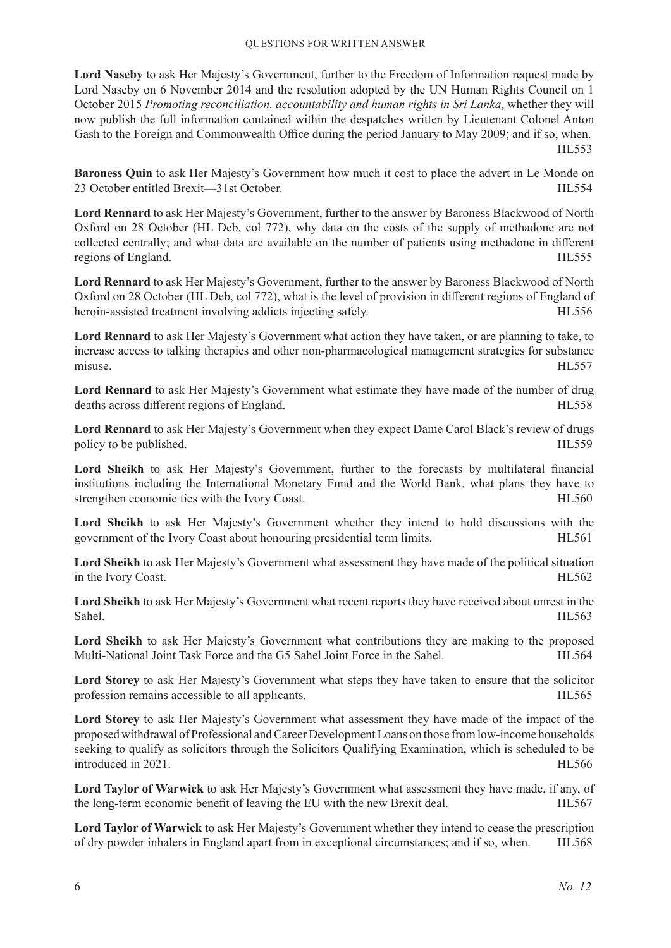**Lord Naseby** to ask Her Majesty's Government, further to the Freedom of Information request made by Lord Naseby on 6 November 2014 and the resolution adopted by the UN Human Rights Council on 1 October 2015 *Promoting reconciliation, accountability and human rights in Sri Lanka*, whether they will now publish the full information contained within the despatches written by Lieutenant Colonel Anton Gash to the Foreign and Commonwealth Office during the period January to May 2009; and if so, when. HL553

**Baroness Quin** to ask Her Majesty's Government how much it cost to place the advert in Le Monde on 23 October entitled Brexit—31st October. HL554

**Lord Rennard** to ask Her Majesty's Government, further to the answer by Baroness Blackwood of North Oxford on 28 October (HL Deb, col 772), why data on the costs of the supply of methadone are not collected centrally; and what data are available on the number of patients using methadone in different regions of England. HL555

**Lord Rennard** to ask Her Majesty's Government, further to the answer by Baroness Blackwood of North Oxford on 28 October (HL Deb, col 772), what is the level of provision in different regions of England of heroin-assisted treatment involving addicts injecting safely. HL556

**Lord Rennard** to ask Her Majesty's Government what action they have taken, or are planning to take, to increase access to talking therapies and other non-pharmacological management strategies for substance misuse. HL557

**Lord Rennard** to ask Her Majesty's Government what estimate they have made of the number of drug deaths across different regions of England. HL558

**Lord Rennard** to ask Her Majesty's Government when they expect Dame Carol Black's review of drugs policy to be published. HL559

**Lord Sheikh** to ask Her Majesty's Government, further to the forecasts by multilateral financial institutions including the International Monetary Fund and the World Bank, what plans they have to strengthen economic ties with the Ivory Coast. HL560

**Lord Sheikh** to ask Her Majesty's Government whether they intend to hold discussions with the government of the Ivory Coast about honouring presidential term limits. HL561

**Lord Sheikh** to ask Her Majesty's Government what assessment they have made of the political situation in the Ivory Coast. HL562

**Lord Sheikh** to ask Her Majesty's Government what recent reports they have received about unrest in the Sahel. HL563

**Lord Sheikh** to ask Her Majesty's Government what contributions they are making to the proposed Multi-National Joint Task Force and the G5 Sahel Joint Force in the Sahel. HL564

**Lord Storey** to ask Her Majesty's Government what steps they have taken to ensure that the solicitor profession remains accessible to all applicants. 
HL565

**Lord Storey** to ask Her Majesty's Government what assessment they have made of the impact of the proposed withdrawal of Professional and Career Development Loans on those from low-income households seeking to qualify as solicitors through the Solicitors Qualifying Examination, which is scheduled to be introduced in 2021.

**Lord Taylor of Warwick** to ask Her Majesty's Government what assessment they have made, if any, of the long-term economic benefit of leaving the EU with the new Brexit deal. HL567

**Lord Taylor of Warwick** to ask Her Majesty's Government whether they intend to cease the prescription of dry powder inhalers in England apart from in exceptional circumstances; and if so, when. HL568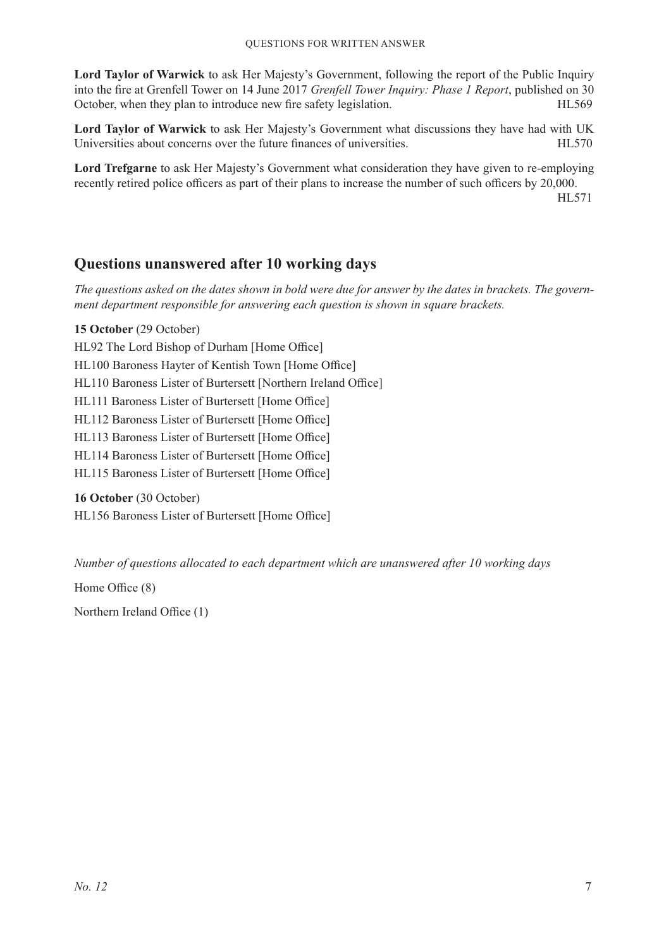**Lord Taylor of Warwick** to ask Her Majesty's Government, following the report of the Public Inquiry into the fire at Grenfell Tower on 14 June 2017 *Grenfell Tower Inquiry: Phase 1 Report*, published on 30 October, when they plan to introduce new fire safety legislation. HL569

**Lord Taylor of Warwick** to ask Her Majesty's Government what discussions they have had with UK Universities about concerns over the future finances of universities. HL570

**Lord Trefgarne** to ask Her Majesty's Government what consideration they have given to re-employing recently retired police officers as part of their plans to increase the number of such officers by 20,000. HL571

**Questions unanswered after 10 working days**

*The questions asked on the dates shown in bold were due for answer by the dates in brackets. The government department responsible for answering each question is shown in square brackets.*

**15 October** (29 October) HL92 The Lord Bishop of Durham [Home Office] HL100 Baroness Hayter of Kentish Town [Home Office] HL110 Baroness Lister of Burtersett [Northern Ireland Office] HL111 Baroness Lister of Burtersett [Home Office] HL112 Baroness Lister of Burtersett [Home Office] HL113 Baroness Lister of Burtersett [Home Office] HL114 Baroness Lister of Burtersett [Home Office] HL115 Baroness Lister of Burtersett [Home Office]

**16 October** (30 October) HL156 Baroness Lister of Burtersett [Home Office]

*Number of questions allocated to each department which are unanswered after 10 working days*

Home Office (8)

Northern Ireland Office (1)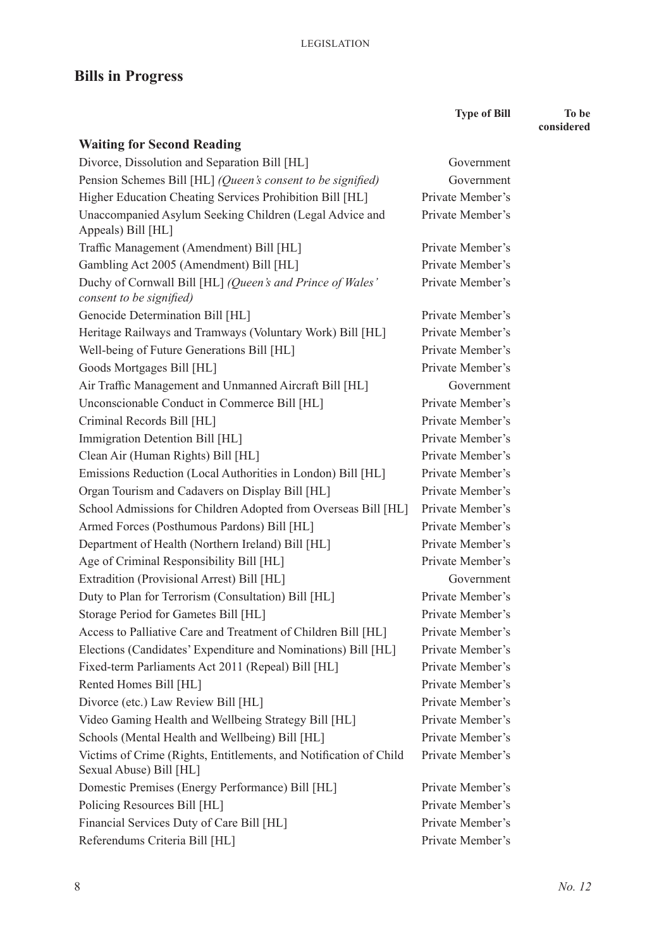# **Bills in Progress**

**Waiting for Second Reading** Divorce, Dissolution and Separation Bill [HL] Government Pension Schemes Bill [HL] *(Queen's consent to be signified)* Government Higher Education Cheating Services Prohibition Bill [HL] Private Member's Unaccompanied Asylum Seeking Children (Legal Advice and Appeals) Bill [HL] Private Member's Traffic Management (Amendment) Bill [HL] Private Member's Gambling Act 2005 (Amendment) Bill [HL] Private Member's Duchy of Cornwall Bill [HL] *(Queen's and Prince of Wales' consent to be signified)* Private Member's Genocide Determination Bill [HL] Private Member's Heritage Railways and Tramways (Voluntary Work) Bill [HL] Private Member's Well-being of Future Generations Bill [HL] Private Member's Goods Mortgages Bill [HL] Private Member's Air Traffic Management and Unmanned Aircraft Bill [HL] Government Unconscionable Conduct in Commerce Bill [HL] Private Member's Criminal Records Bill [HL] Private Member's Immigration Detention Bill [HL] Private Member's Clean Air (Human Rights) Bill [HL] Private Member's Emissions Reduction (Local Authorities in London) Bill [HL] Private Member's Organ Tourism and Cadavers on Display Bill [HL] Private Member's School Admissions for Children Adopted from Overseas Bill [HL] Private Member's Armed Forces (Posthumous Pardons) Bill [HL] Private Member's Department of Health (Northern Ireland) Bill [HL] Private Member's Age of Criminal Responsibility Bill [HL] Private Member's Extradition (Provisional Arrest) Bill [HL] Government Duty to Plan for Terrorism (Consultation) Bill [HL] Private Member's Storage Period for Gametes Bill [HL] Private Member's Access to Palliative Care and Treatment of Children Bill [HL] Private Member's Elections (Candidates' Expenditure and Nominations) Bill [HL] Private Member's Fixed-term Parliaments Act 2011 (Repeal) Bill [HL] Private Member's Rented Homes Bill [HL] Private Member's Divorce (etc.) Law Review Bill [HL] Private Member's

Video Gaming Health and Wellbeing Strategy Bill [HL] Private Member's Schools (Mental Health and Wellbeing) Bill [HL] Private Member's Victims of Crime (Rights, Entitlements, and Notification of Child Sexual Abuse) Bill [HL] Private Member's Domestic Premises (Energy Performance) Bill [HL] Private Member's Policing Resources Bill [HL] Private Member's Financial Services Duty of Care Bill [HL] Private Member's

Referendums Criteria Bill [HL] Private Member's

**Type of Bill To be** 

**considered**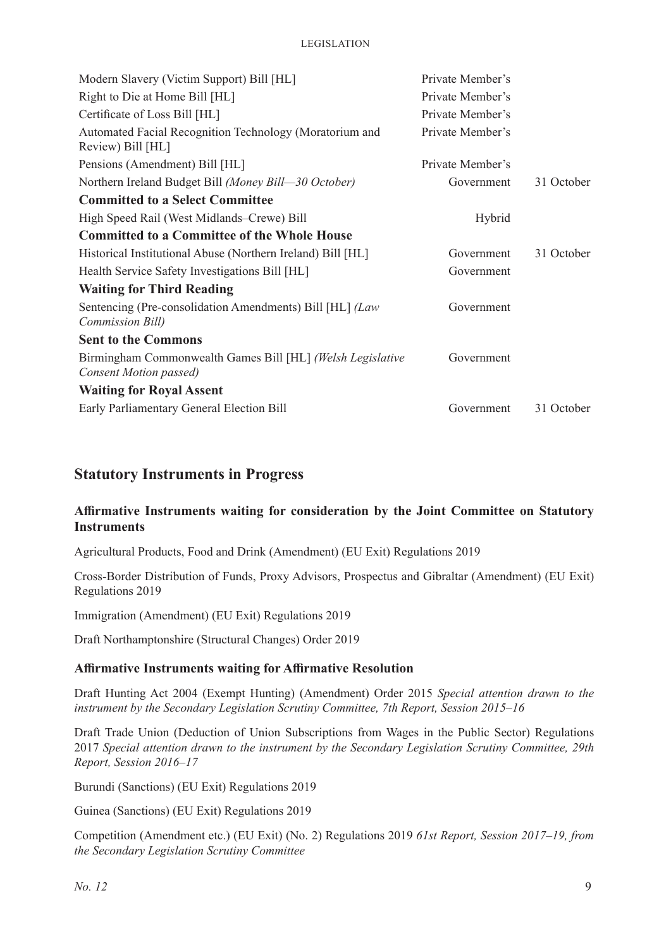| Modern Slavery (Victim Support) Bill [HL]                                            | Private Member's |            |
|--------------------------------------------------------------------------------------|------------------|------------|
| Right to Die at Home Bill [HL]                                                       | Private Member's |            |
| Certificate of Loss Bill [HL]                                                        | Private Member's |            |
| Automated Facial Recognition Technology (Moratorium and<br>Review) Bill [HL]         | Private Member's |            |
| Pensions (Amendment) Bill [HL]                                                       | Private Member's |            |
| Northern Ireland Budget Bill (Money Bill-30 October)                                 | Government       | 31 October |
| <b>Committed to a Select Committee</b>                                               |                  |            |
| High Speed Rail (West Midlands–Crewe) Bill                                           | Hybrid           |            |
| <b>Committed to a Committee of the Whole House</b>                                   |                  |            |
| Historical Institutional Abuse (Northern Ireland) Bill [HL]                          | Government       | 31 October |
| Health Service Safety Investigations Bill [HL]                                       | Government       |            |
| <b>Waiting for Third Reading</b>                                                     |                  |            |
| Sentencing (Pre-consolidation Amendments) Bill [HL] (Law<br>Commission Bill)         | Government       |            |
| <b>Sent to the Commons</b>                                                           |                  |            |
| Birmingham Commonwealth Games Bill [HL] (Welsh Legislative<br>Consent Motion passed) | Government       |            |
| <b>Waiting for Royal Assent</b>                                                      |                  |            |
| Early Parliamentary General Election Bill                                            | Government       | 31 October |

# **Statutory Instruments in Progress**

#### **Affirmative Instruments waiting for consideration by the Joint Committee on Statutory Instruments**

Agricultural Products, Food and Drink (Amendment) (EU Exit) Regulations 2019

Cross-Border Distribution of Funds, Proxy Advisors, Prospectus and Gibraltar (Amendment) (EU Exit) Regulations 2019

Immigration (Amendment) (EU Exit) Regulations 2019

Draft Northamptonshire (Structural Changes) Order 2019

#### **Affirmative Instruments waiting for Affirmative Resolution**

Draft Hunting Act 2004 (Exempt Hunting) (Amendment) Order 2015 *Special attention drawn to the instrument by the Secondary Legislation Scrutiny Committee, 7th Report, Session 2015–16*

Draft Trade Union (Deduction of Union Subscriptions from Wages in the Public Sector) Regulations 2017 *Special attention drawn to the instrument by the Secondary Legislation Scrutiny Committee, 29th Report, Session 2016–17*

Burundi (Sanctions) (EU Exit) Regulations 2019

Guinea (Sanctions) (EU Exit) Regulations 2019

Competition (Amendment etc.) (EU Exit) (No. 2) Regulations 2019 *61st Report, Session 2017–19, from the Secondary Legislation Scrutiny Committee*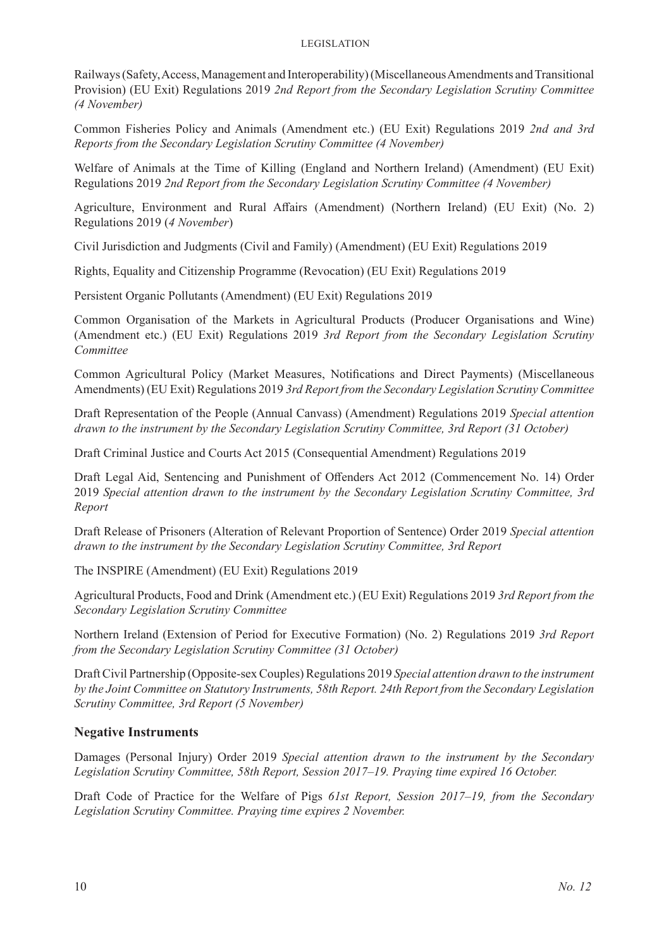#### Legislation

Railways (Safety, Access, Management and Interoperability) (Miscellaneous Amendments and Transitional Provision) (EU Exit) Regulations 2019 *2nd Report from the Secondary Legislation Scrutiny Committee (4 November)*

Common Fisheries Policy and Animals (Amendment etc.) (EU Exit) Regulations 2019 *2nd and 3rd Reports from the Secondary Legislation Scrutiny Committee (4 November)*

Welfare of Animals at the Time of Killing (England and Northern Ireland) (Amendment) (EU Exit) Regulations 2019 *2nd Report from the Secondary Legislation Scrutiny Committee (4 November)*

Agriculture, Environment and Rural Affairs (Amendment) (Northern Ireland) (EU Exit) (No. 2) Regulations 2019 (*4 November*)

Civil Jurisdiction and Judgments (Civil and Family) (Amendment) (EU Exit) Regulations 2019

Rights, Equality and Citizenship Programme (Revocation) (EU Exit) Regulations 2019

Persistent Organic Pollutants (Amendment) (EU Exit) Regulations 2019

Common Organisation of the Markets in Agricultural Products (Producer Organisations and Wine) (Amendment etc.) (EU Exit) Regulations 2019 *3rd Report from the Secondary Legislation Scrutiny Committee*

Common Agricultural Policy (Market Measures, Notifications and Direct Payments) (Miscellaneous Amendments) (EU Exit) Regulations 2019 *3rd Report from the Secondary Legislation Scrutiny Committee*

Draft Representation of the People (Annual Canvass) (Amendment) Regulations 2019 *Special attention drawn to the instrument by the Secondary Legislation Scrutiny Committee, 3rd Report (31 October)*

Draft Criminal Justice and Courts Act 2015 (Consequential Amendment) Regulations 2019

Draft Legal Aid, Sentencing and Punishment of Offenders Act 2012 (Commencement No. 14) Order 2019 *Special attention drawn to the instrument by the Secondary Legislation Scrutiny Committee, 3rd Report*

Draft Release of Prisoners (Alteration of Relevant Proportion of Sentence) Order 2019 *Special attention drawn to the instrument by the Secondary Legislation Scrutiny Committee, 3rd Report*

The INSPIRE (Amendment) (EU Exit) Regulations 2019

Agricultural Products, Food and Drink (Amendment etc.) (EU Exit) Regulations 2019 *3rd Report from the Secondary Legislation Scrutiny Committee*

Northern Ireland (Extension of Period for Executive Formation) (No. 2) Regulations 2019 *3rd Report from the Secondary Legislation Scrutiny Committee (31 October)*

Draft Civil Partnership (Opposite-sex Couples) Regulations 2019 *Special attention drawn to the instrument by the Joint Committee on Statutory Instruments, 58th Report. 24th Report from the Secondary Legislation Scrutiny Committee, 3rd Report (5 November)*

#### **Negative Instruments**

Damages (Personal Injury) Order 2019 *Special attention drawn to the instrument by the Secondary Legislation Scrutiny Committee, 58th Report, Session 2017–19. Praying time expired 16 October.* 

Draft Code of Practice for the Welfare of Pigs *61st Report, Session 2017–19, from the Secondary Legislation Scrutiny Committee. Praying time expires 2 November.*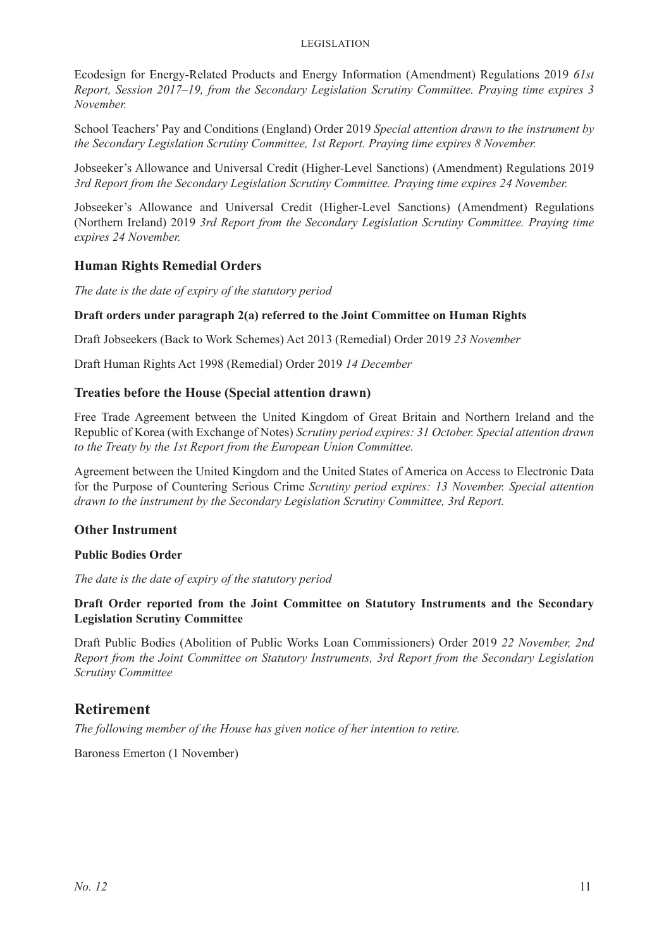#### Legislation

Ecodesign for Energy-Related Products and Energy Information (Amendment) Regulations 2019 *61st Report, Session 2017–19, from the Secondary Legislation Scrutiny Committee. Praying time expires 3 November.* 

School Teachers' Pay and Conditions (England) Order 2019 *Special attention drawn to the instrument by the Secondary Legislation Scrutiny Committee, 1st Report. Praying time expires 8 November.* 

Jobseeker's Allowance and Universal Credit (Higher-Level Sanctions) (Amendment) Regulations 2019 *3rd Report from the Secondary Legislation Scrutiny Committee. Praying time expires 24 November.* 

Jobseeker's Allowance and Universal Credit (Higher-Level Sanctions) (Amendment) Regulations (Northern Ireland) 2019 *3rd Report from the Secondary Legislation Scrutiny Committee. Praying time expires 24 November.* 

#### **Human Rights Remedial Orders**

*The date is the date of expiry of the statutory period*

#### **Draft orders under paragraph 2(a) referred to the Joint Committee on Human Rights**

Draft Jobseekers (Back to Work Schemes) Act 2013 (Remedial) Order 2019 *23 November*

Draft Human Rights Act 1998 (Remedial) Order 2019 *14 December*

#### **Treaties before the House (Special attention drawn)**

Free Trade Agreement between the United Kingdom of Great Britain and Northern Ireland and the Republic of Korea (with Exchange of Notes) *Scrutiny period expires: 31 October. Special attention drawn to the Treaty by the 1st Report from the European Union Committee.*

Agreement between the United Kingdom and the United States of America on Access to Electronic Data for the Purpose of Countering Serious Crime *Scrutiny period expires: 13 November. Special attention drawn to the instrument by the Secondary Legislation Scrutiny Committee, 3rd Report.*

#### **Other Instrument**

#### **Public Bodies Order**

*The date is the date of expiry of the statutory period*

#### **Draft Order reported from the Joint Committee on Statutory Instruments and the Secondary Legislation Scrutiny Committee**

Draft Public Bodies (Abolition of Public Works Loan Commissioners) Order 2019 *22 November, 2nd Report from the Joint Committee on Statutory Instruments, 3rd Report from the Secondary Legislation Scrutiny Committee*

#### **Retirement**

*The following member of the House has given notice of her intention to retire.*

Baroness Emerton (1 November)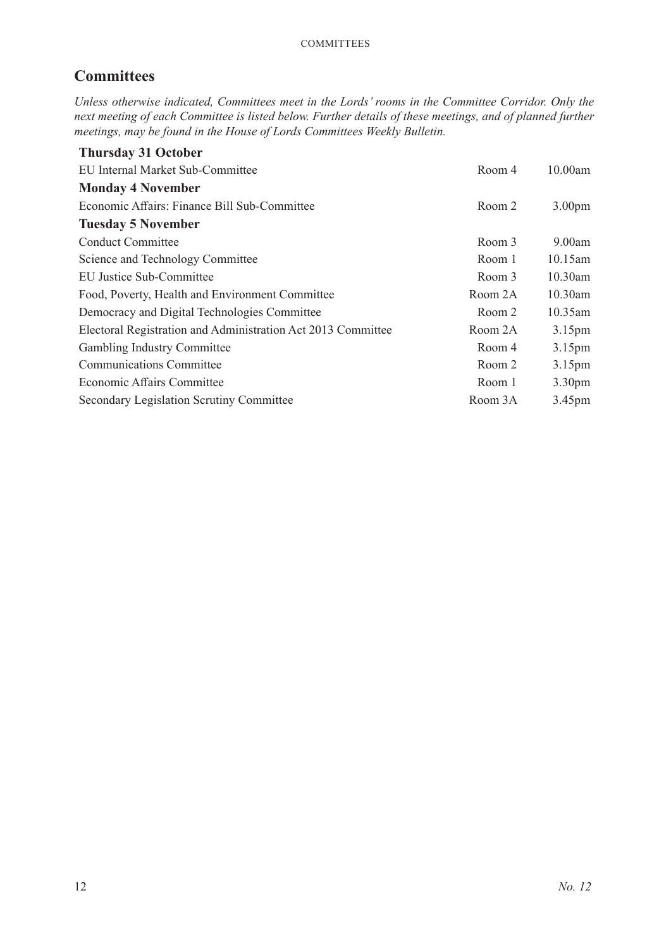# **Committees**

*Unless otherwise indicated, Committees meet in the Lords' rooms in the Committee Corridor. Only the next meeting of each Committee is listed below. Further details of these meetings, and of planned further meetings, may be found in the House of Lords Committees Weekly Bulletin.*

| <b>Thursday 31 October</b>                                   |         |                    |
|--------------------------------------------------------------|---------|--------------------|
| EU Internal Market Sub-Committee                             | Room 4  | 10.00am            |
| <b>Monday 4 November</b>                                     |         |                    |
| Economic Affairs: Finance Bill Sub-Committee                 | Room 2  | 3.00 <sub>pm</sub> |
| <b>Tuesday 5 November</b>                                    |         |                    |
| <b>Conduct Committee</b>                                     | Room 3  | 9.00am             |
| Science and Technology Committee                             | Room 1  | $10.15$ am         |
| EU Justice Sub-Committee                                     | Room 3  | 10.30am            |
| Food, Poverty, Health and Environment Committee              | Room 2A | 10.30am            |
| Democracy and Digital Technologies Committee                 | Room 2  | $10.35$ am         |
| Electoral Registration and Administration Act 2013 Committee | Room 2A | 3.15 <sub>pm</sub> |
| Gambling Industry Committee                                  | Room 4  | 3.15 <sub>pm</sub> |
| <b>Communications Committee</b>                              | Room 2  | 3.15 <sub>pm</sub> |
| Economic Affairs Committee                                   | Room 1  | 3.30 <sub>pm</sub> |
| Secondary Legislation Scrutiny Committee                     | Room 3A | 3.45 <sub>pm</sub> |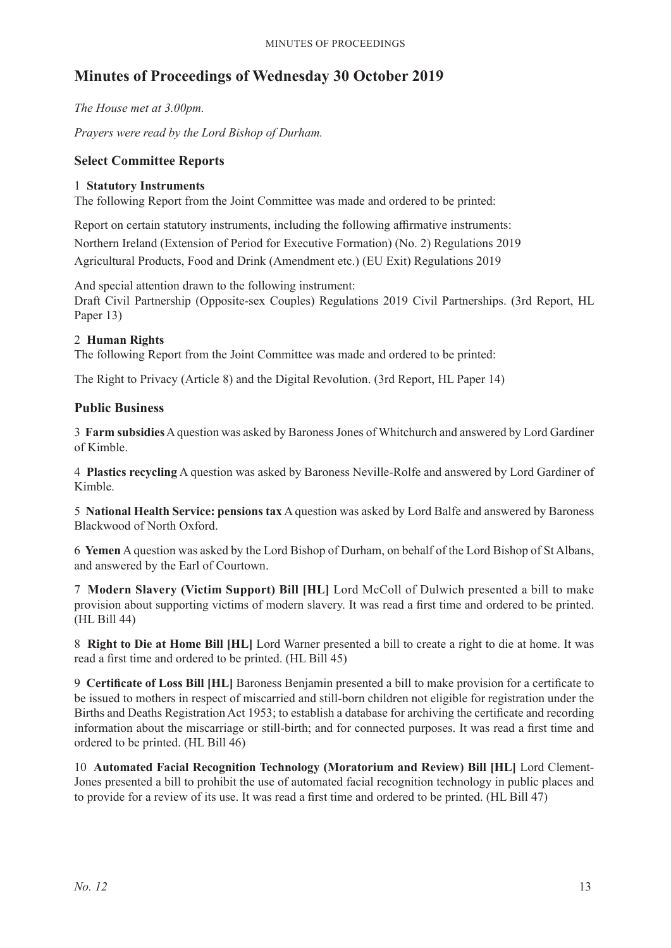# **Minutes of Proceedings of Wednesday 30 October 2019**

*The House met at 3.00pm.*

*Prayers were read by the Lord Bishop of Durham.*

#### **Select Committee Reports**

#### 1 **Statutory Instruments**

The following Report from the Joint Committee was made and ordered to be printed:

Report on certain statutory instruments, including the following affirmative instruments: Northern Ireland (Extension of Period for Executive Formation) (No. 2) Regulations 2019 Agricultural Products, Food and Drink (Amendment etc.) (EU Exit) Regulations 2019

And special attention drawn to the following instrument: Draft Civil Partnership (Opposite-sex Couples) Regulations 2019 Civil Partnerships. (3rd Report, HL Paper 13)

#### 2 **Human Rights**

The following Report from the Joint Committee was made and ordered to be printed:

The Right to Privacy (Article 8) and the Digital Revolution. (3rd Report, HL Paper 14)

#### **Public Business**

3 **Farm subsidies**A question was asked by Baroness Jones of Whitchurch and answered by Lord Gardiner of Kimble.

4 **Plastics recycling** A question was asked by Baroness Neville-Rolfe and answered by Lord Gardiner of Kimble.

5 **National Health Service: pensions tax** A question was asked by Lord Balfe and answered by Baroness Blackwood of North Oxford.

6 **Yemen** A question was asked by the Lord Bishop of Durham, on behalf of the Lord Bishop of St Albans, and answered by the Earl of Courtown.

7 **Modern Slavery (Victim Support) Bill [HL]** Lord McColl of Dulwich presented a bill to make provision about supporting victims of modern slavery. It was read a first time and ordered to be printed. (HL Bill 44)

8 **Right to Die at Home Bill [HL]** Lord Warner presented a bill to create a right to die at home. It was read a first time and ordered to be printed. (HL Bill 45)

9 **Certificate of Loss Bill [HL]** Baroness Benjamin presented a bill to make provision for a certificate to be issued to mothers in respect of miscarried and still-born children not eligible for registration under the Births and Deaths Registration Act 1953; to establish a database for archiving the certificate and recording information about the miscarriage or still-birth; and for connected purposes. It was read a first time and ordered to be printed. (HL Bill 46)

10 **Automated Facial Recognition Technology (Moratorium and Review) Bill [HL]** Lord Clement-Jones presented a bill to prohibit the use of automated facial recognition technology in public places and to provide for a review of its use. It was read a first time and ordered to be printed. (HL Bill 47)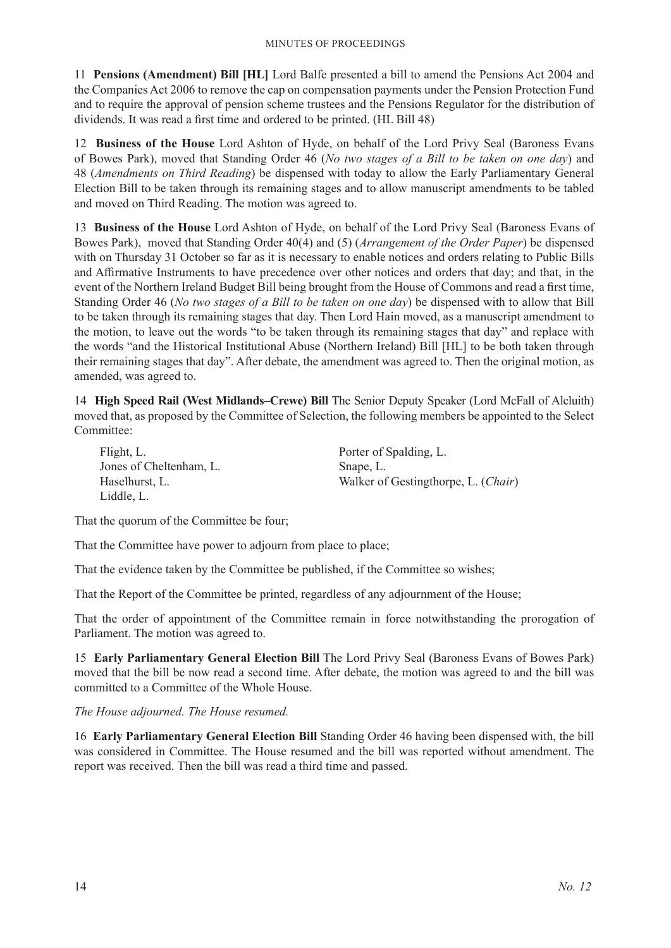11 **Pensions (Amendment) Bill [HL]** Lord Balfe presented a bill to amend the Pensions Act 2004 and the Companies Act 2006 to remove the cap on compensation payments under the Pension Protection Fund and to require the approval of pension scheme trustees and the Pensions Regulator for the distribution of dividends. It was read a first time and ordered to be printed. (HL Bill 48)

12 **Business of the House** Lord Ashton of Hyde, on behalf of the Lord Privy Seal (Baroness Evans of Bowes Park), moved that Standing Order 46 (*No two stages of a Bill to be taken on one day*) and 48 (*Amendments on Third Reading*) be dispensed with today to allow the Early Parliamentary General Election Bill to be taken through its remaining stages and to allow manuscript amendments to be tabled and moved on Third Reading. The motion was agreed to.

13 **Business of the House** Lord Ashton of Hyde, on behalf of the Lord Privy Seal (Baroness Evans of Bowes Park), moved that Standing Order 40(4) and (5) (*Arrangement of the Order Paper*) be dispensed with on Thursday 31 October so far as it is necessary to enable notices and orders relating to Public Bills and Affirmative Instruments to have precedence over other notices and orders that day; and that, in the event of the Northern Ireland Budget Bill being brought from the House of Commons and read a first time, Standing Order 46 (*No two stages of a Bill to be taken on one day*) be dispensed with to allow that Bill to be taken through its remaining stages that day. Then Lord Hain moved, as a manuscript amendment to the motion, to leave out the words "to be taken through its remaining stages that day" and replace with the words "and the Historical Institutional Abuse (Northern Ireland) Bill [HL] to be both taken through their remaining stages that day". After debate, the amendment was agreed to. Then the original motion, as amended, was agreed to.

14 **High Speed Rail (West Midlands–Crewe) Bill** The Senior Deputy Speaker (Lord McFall of Alcluith) moved that, as proposed by the Committee of Selection, the following members be appointed to the Select Committee:

Flight, L. Jones of Cheltenham, L. Haselhurst, L. Liddle, L.

Porter of Spalding, L. Snape, L. Walker of Gestingthorpe, L. (*Chair*)

That the quorum of the Committee be four;

That the Committee have power to adjourn from place to place;

That the evidence taken by the Committee be published, if the Committee so wishes;

That the Report of the Committee be printed, regardless of any adjournment of the House;

That the order of appointment of the Committee remain in force notwithstanding the prorogation of Parliament. The motion was agreed to.

15 **Early Parliamentary General Election Bill** The Lord Privy Seal (Baroness Evans of Bowes Park) moved that the bill be now read a second time. After debate, the motion was agreed to and the bill was committed to a Committee of the Whole House.

#### *The House adjourned. The House resumed.*

16 **Early Parliamentary General Election Bill** Standing Order 46 having been dispensed with, the bill was considered in Committee. The House resumed and the bill was reported without amendment. The report was received. Then the bill was read a third time and passed.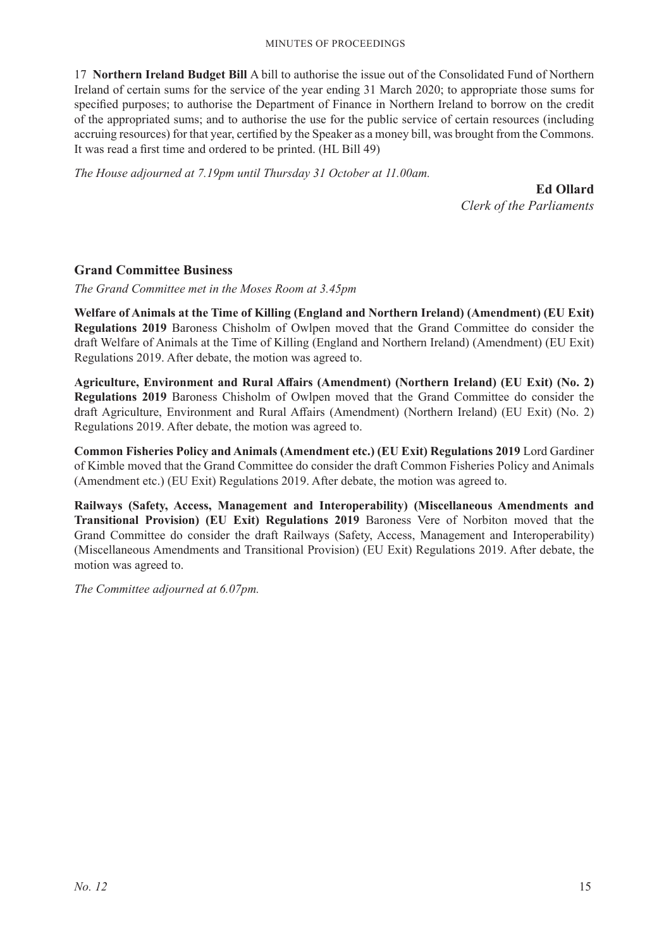17 **Northern Ireland Budget Bill** A bill to authorise the issue out of the Consolidated Fund of Northern Ireland of certain sums for the service of the year ending 31 March 2020; to appropriate those sums for specified purposes; to authorise the Department of Finance in Northern Ireland to borrow on the credit of the appropriated sums; and to authorise the use for the public service of certain resources (including accruing resources) for that year, certified by the Speaker as a money bill, was brought from the Commons. It was read a first time and ordered to be printed. (HL Bill 49)

*The House adjourned at 7.19pm until Thursday 31 October at 11.00am.*

**Ed Ollard** *Clerk of the Parliaments*

#### **Grand Committee Business**

*The Grand Committee met in the Moses Room at 3.45pm*

**Welfare of Animals at the Time of Killing (England and Northern Ireland) (Amendment) (EU Exit) Regulations 2019** Baroness Chisholm of Owlpen moved that the Grand Committee do consider the draft Welfare of Animals at the Time of Killing (England and Northern Ireland) (Amendment) (EU Exit) Regulations 2019. After debate, the motion was agreed to.

**Agriculture, Environment and Rural Affairs (Amendment) (Northern Ireland) (EU Exit) (No. 2) Regulations 2019** Baroness Chisholm of Owlpen moved that the Grand Committee do consider the draft Agriculture, Environment and Rural Affairs (Amendment) (Northern Ireland) (EU Exit) (No. 2) Regulations 2019. After debate, the motion was agreed to.

**Common Fisheries Policy and Animals (Amendment etc.) (EU Exit) Regulations 2019** Lord Gardiner of Kimble moved that the Grand Committee do consider the draft Common Fisheries Policy and Animals (Amendment etc.) (EU Exit) Regulations 2019. After debate, the motion was agreed to.

**Railways (Safety, Access, Management and Interoperability) (Miscellaneous Amendments and Transitional Provision) (EU Exit) Regulations 2019** Baroness Vere of Norbiton moved that the Grand Committee do consider the draft Railways (Safety, Access, Management and Interoperability) (Miscellaneous Amendments and Transitional Provision) (EU Exit) Regulations 2019. After debate, the motion was agreed to.

*The Committee adjourned at 6.07pm.*